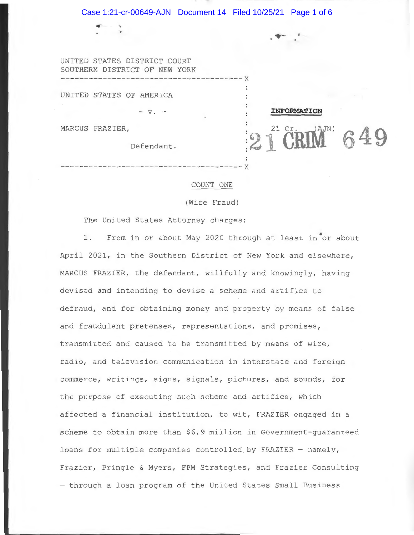UNITED STATES DISTRICT COURT SOUTHERN DISTRICT OF **NEW** YORK **------------------------------------- -- <sup>x</sup>**

UNITED STATES OF AMERICA

MARCUS FRAZIER,

..

Defendant .

 $- v$ .  $-$ 

#### COUNT ONE

**---------------------------- ----------- <sup>x</sup>**

**INFORMATION** 

**49** 

(Wire Fraud)

The United States Attorney charges:

1. From in or about May 2020 through at least in or about April 2021, in the Southern District of New York and elsewhere, MARCUS FRAZIER, the defendant, willfully and knowingly, having devised and intending to devise a scheme and artifice to defraud, and for obtaining money and property by means of false and fraudulent pretenses, representations, and promises, transmitted and caused to be transmitted by means of wire, radio, and television communication in interstate and foreign commerce, writings, signs, signals, pictures, and sounds, for the purpose of executing such scheme and artifice, which affected a financial institution, to wit, FRAZIER engaged in a scheme to obtain more than \$6 . 9 million in Government-guaranteed loans for multiple companies controlled by FRAZIER - namely, Frazier, Pringle & Myers, FPM Strategies, and Frazier Consulting - through a loan program of the United States Small Business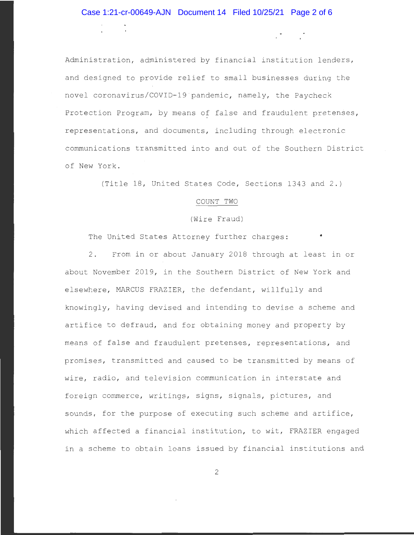$\mathcal{L}^{\text{max}}_{\text{max}}$ 

Administration, administered by financial institution lenders, and designed to provide relief to small businesses during the novel coronavirus/COVID-19 pandemic, namely, the Paycheck Protection Program, by means of false and fraudulent pretenses, representations, and documents , including through electronic communications transmi tted into and out of the Southern District of New York.

(Title 18, United States Code, Sections 1343 and 2.)

## COUNT TWO

(Wire Fraud)

The United States Attorney further charges:

2. From in or about January 2018 through at least in or about November 2019, in the Southern District of New York and elsewhere, MARCUS FRAZIER, the defendant, willfully and knowingly , having devised and intending to devise a scheme and artifice to defraud, and for obtaining money and property by means of false and fraudulent pretenses, representations, and promises, transmitted and caused to be transmitted by means of wire, radio, and television communication in interstate and foreign commerce, writings, signs, signals, pictures, and sounds, for the purpose of executing such scheme and artifice, which affected a financial institution, to wit, FRAZIER engaged in a scheme to obtain loans issued by financial institutions and

2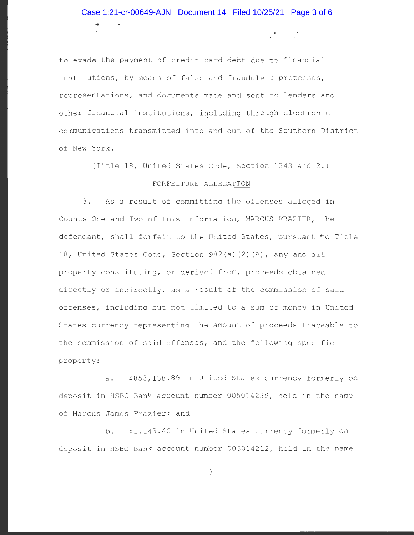# Case 1:21-cr-00649-AJN Document 14 Filed 10/25/21 Page 3 of 6

 $\mathcal{L} = \mathcal{L}$ 

to evade the payment of credit card debt due to financial institutions, by means of false and fraudulent pretenses, representations, and documents made and sent to lenders and other financial institutions, including through electronic communications transmitted into and out of the Southern District of New York .

(Title 18, United States Code, Section 1343 and 2.)

## FORFEITURE ALLEGATION

3. As a result of committing the offenses alleged in Counts One and Two of this Information, MARCUS FRAZIER, the defendant, shall forfeit to the United States, pursuant to Title 18, United States Code, Section 982(a)(2)(A), any and all property constituting, or derived from, proceeds obtained directly or indirectly, as a result of the commission of said offenses, including but not limited to a sum of money in United States currency representing the amount of proceeds traceable to the commission of said offenses, and the following specific property :

a. \$853,138.89 in United States currency formerly on deposit in HSBC Bank account number 005014239, held in the name of Marcus James Frazier; and

b. \$1,143.40 in United States currency formerly on deposit in HSBC Bank account number 005014212, held in the name

3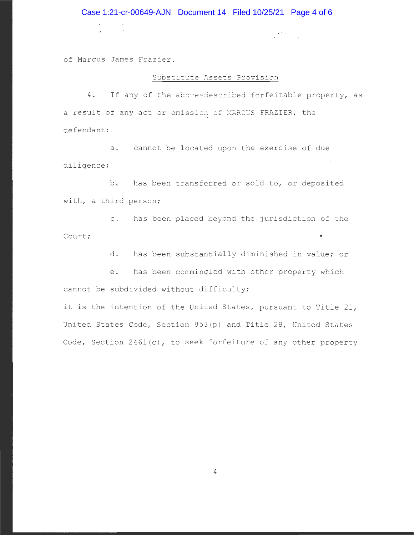### Case 1:21-cr-00649-AJN Document 14 Filed 10/25/21 Page 4 of 6

of Marcus James Frazier.

*r* 

#### Substitute Assets Provision

 $\mathcal{L}^{\text{max}}$ 

4. If any of the above-described forfeitable property, as a result of any act or omission of MARCUS FRAZIER, the defendant:

a. cannot be located upon the exercise of due diligence;

b. has been transferred or sold to, or deposited with, a third person;

c. has been placed beyond the jurisdiction of the Court;

d. has been substantially diminished in value; or

e. has been commingled with other property which cannot be subdivided without difficulty;

it is the intention of the United States, pursuant to Title 21, United States Code, Section 853(p) and Title 28, United States Code, Section 2461(c), to seek forfeiture of any other property

4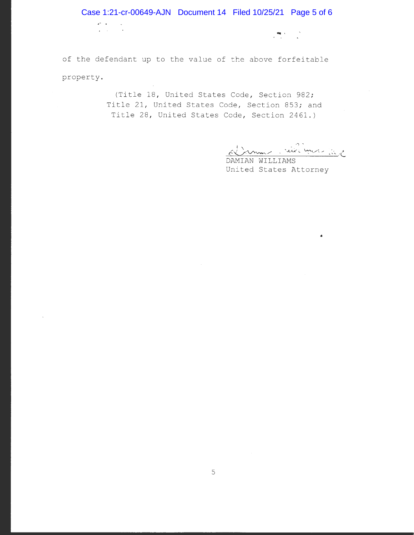of the defendant up to the value of the above forfeitable property.

.-

 $\bar{\lambda}$ 

(Title 18, United States Code, Section 982; Title 21, United States Code, Section 853; and Title 28, United States Code, Section 2461.)

~ *uJ;JJJ~,/(A.,(\_* 

 $\label{eq:Ricci} \frac{\partial \mathbf{w}}{\partial \mathbf{w}} \leq \frac{1}{\sqrt{2}} \sum_{i=1}^N \frac{\partial \mathbf{w}}{\partial \mathbf{w}}$ 

•

DAMIAN WILLIAMS United States Attorney